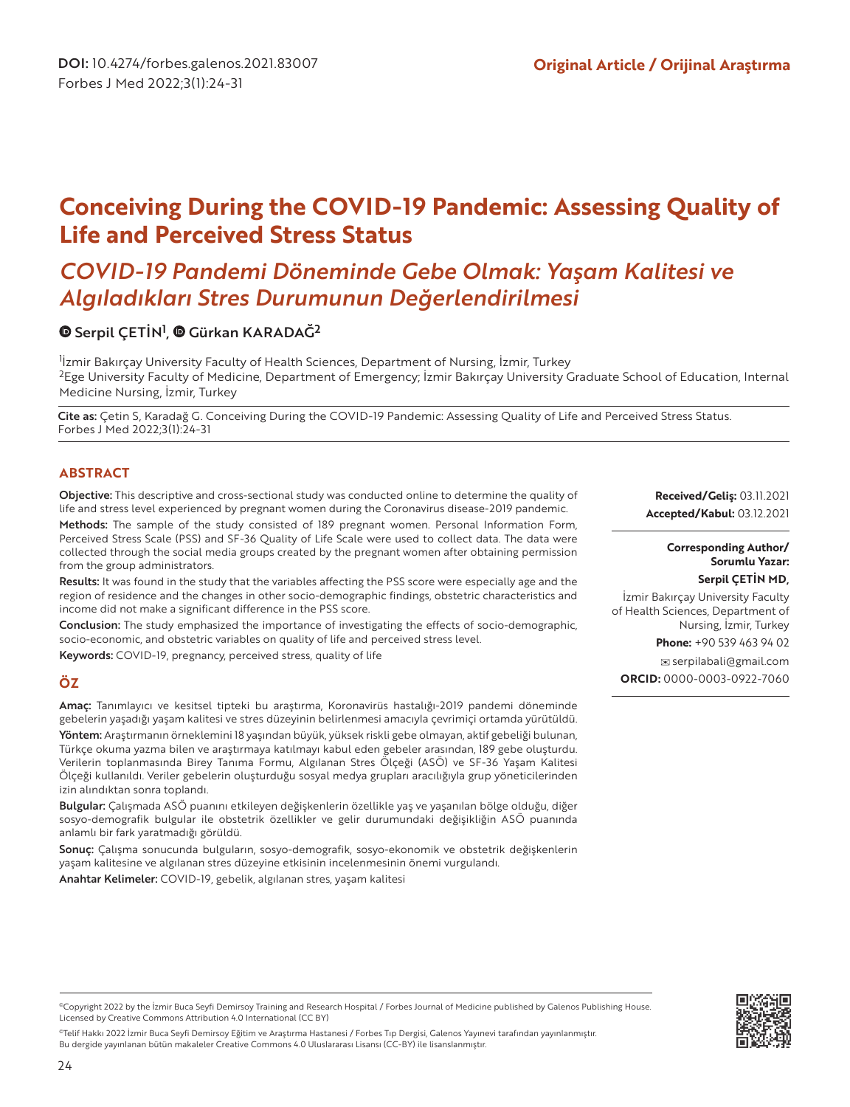# **Conceiving During the COVID-19 Pandemic: Assessing Quality of Life and Perceived Stress Status**

# *COVID-19 Pandemi Döneminde Gebe Olmak: Yaşam Kalitesi ve Algıladıkları Stres Durumunun Değerlendirilmesi*

## SerpilÇETİN<sup>1</sup>, @ Gürkan KARADAĞ<sup>2</sup>

<sup>1</sup>İzmir Bakırçay University Faculty of Health Sciences, Department of Nursing, İzmir, Turkey <sup>2</sup>Ege University Faculty of Medicine, Department of Emergency; İzmir Bakırçay University Graduate School of Education, Internal Medicine Nursing, İzmir, Turkey

Cite as: Çetin S, Karadağ G. Conceiving During the COVID-19 Pandemic: Assessing Quality of Life and Perceived Stress Status. Forbes J Med 2022;3(1):24-31

## **ABSTRACT**

Objective: This descriptive and cross-sectional study was conducted online to determine the quality of life and stress level experienced by pregnant women during the Coronavirus disease-2019 pandemic.

Methods: The sample of the study consisted of 189 pregnant women. Personal Information Form, Perceived Stress Scale (PSS) and SF-36 Quality of Life Scale were used to collect data. The data were collected through the social media groups created by the pregnant women after obtaining permission from the group administrators.

Results: It was found in the study that the variables affecting the PSS score were especially age and the region of residence and the changes in other socio-demographic findings, obstetric characteristics and income did not make a significant difference in the PSS score.

Conclusion: The study emphasized the importance of investigating the effects of socio-demographic, socio-economic, and obstetric variables on quality of life and perceived stress level.

Keywords: COVID-19, pregnancy, perceived stress, quality of life

## **ÖZ**

Amaç: Tanımlayıcı ve kesitsel tipteki bu araştırma, Koronavirüs hastalığı-2019 pandemi döneminde gebelerin yaşadığı yaşam kalitesi ve stres düzeyinin belirlenmesi amacıyla çevrimiçi ortamda yürütüldü. Yöntem: Araştırmanın örneklemini 18 yaşından büyük, yüksek riskli gebe olmayan, aktif gebeliği bulunan, Türkçe okuma yazma bilen ve araştırmaya katılmayı kabul eden gebeler arasından, 189 gebe oluşturdu. Verilerin toplanmasında Birey Tanıma Formu, Algılanan Stres Ölçeği (ASÖ) ve SF-36 Yaşam Kalitesi Ölçeği kullanıldı. Veriler gebelerin oluşturduğu sosyal medya grupları aracılığıyla grup yöneticilerinden izin alındıktan sonra toplandı.

Bulgular: Çalışmada ASÖ puanını etkileyen değişkenlerin özellikle yaş ve yaşanılan bölge olduğu, diğer sosyo-demografik bulgular ile obstetrik özellikler ve gelir durumundaki değişikliğin ASÖ puanında anlamlı bir fark yaratmadığı görüldü.

Sonuç: Çalışma sonucunda bulguların, sosyo-demografik, sosyo-ekonomik ve obstetrik değişkenlerin yaşam kalitesine ve algılanan stres düzeyine etkisinin incelenmesinin önemi vurgulandı.

Anahtar Kelimeler: COVID-19, gebelik, algılanan stres, yaşam kalitesi

**Received/Geliş:** 03.11.2021 **Accepted/Kabul:** 03.12.2021

#### **Corresponding Author/ Sorumlu Yazar: Serpil ÇETİN MD,**

 İzmir Bakırçay University Faculty of Health Sciences, Department of Nursing, İzmir, Turkey

**Phone:** +90 539 463 94 02

 serpilabali@gmail.com **ORCID:** 0000-0003-0922-7060



©Telif Hakkı 2022 İzmir Buca Seyfi Demirsoy Eğitim ve Araştırma Hastanesi / Forbes Tıp Dergisi, Galenos Yayınevi tarafından yayınlanmıştır. Bu dergide yayınlanan bütün makaleler Creative Commons 4.0 Uluslararası Lisansı (CC-BY) ile lisanslanmıştır.

<sup>©</sup>Copyright 2022 by the İzmir Buca Seyfi Demirsoy Training and Research Hospital / Forbes Journal of Medicine published by Galenos Publishing House. Licensed by Creative Commons Attribution 4.0 International (CC BY)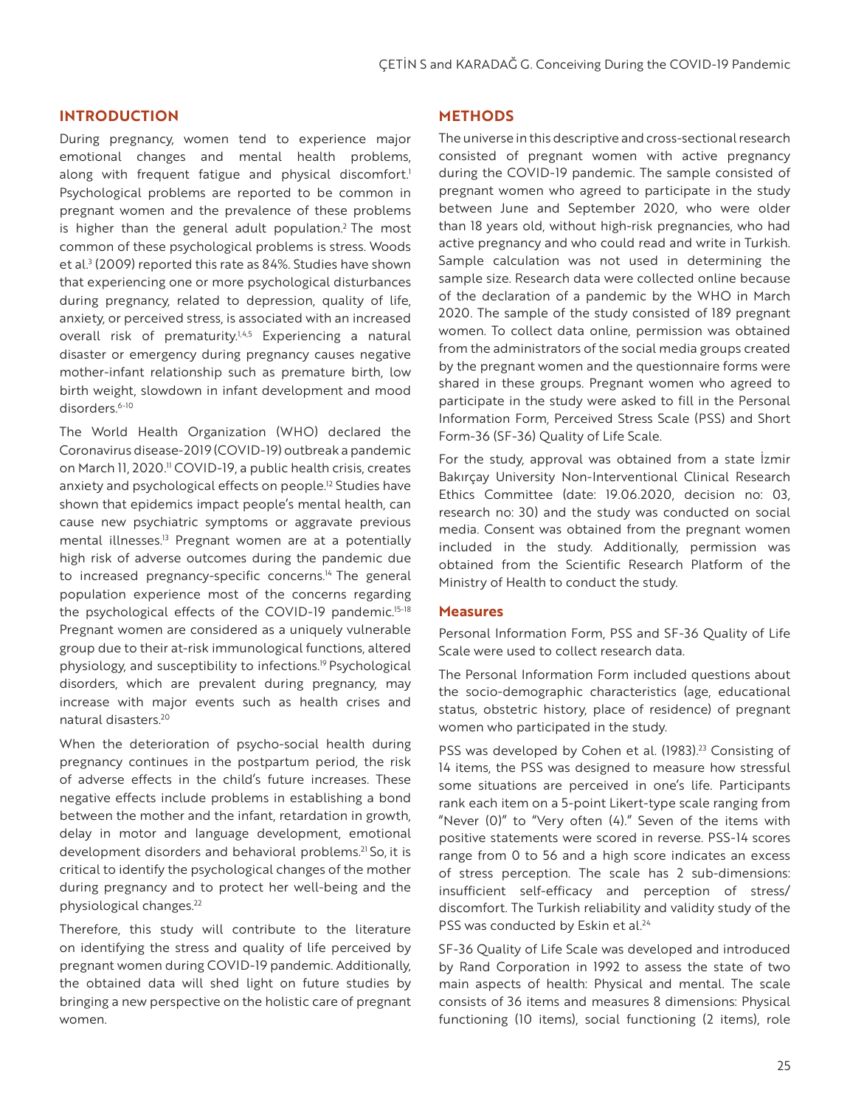#### **INTRODUCTION**

During pregnancy, women tend to experience major emotional changes and mental health problems, along with frequent fatigue and physical discomfort.<sup>1</sup> Psychological problems are reported to be common in pregnant women and the prevalence of these problems is higher than the general adult population.<sup>2</sup> The most common of these psychological problems is stress. Woods et al.<sup>3</sup> (2009) reported this rate as 84%. Studies have shown that experiencing one or more psychological disturbances during pregnancy, related to depression, quality of life, anxiety, or perceived stress, is associated with an increased overall risk of prematurity.<sup>1,4,5</sup> Experiencing a natural disaster or emergency during pregnancy causes negative mother-infant relationship such as premature birth, low birth weight, slowdown in infant development and mood disorders.<sup>6-10</sup>

The World Health Organization (WHO) declared the Coronavirus disease-2019 (COVID-19) outbreak a pandemic on March II, 2020.<sup>11</sup> COVID-19, a public health crisis, creates anxiety and psychological effects on people.<sup>12</sup> Studies have shown that epidemics impact people's mental health, can cause new psychiatric symptoms or aggravate previous mental illnesses.<sup>13</sup> Pregnant women are at a potentially high risk of adverse outcomes during the pandemic due to increased pregnancy-specific concerns.<sup>14</sup> The general population experience most of the concerns regarding the psychological effects of the COVID-19 pandemic.<sup>15-18</sup> Pregnant women are considered as a uniquely vulnerable group due to their at-risk immunological functions, altered physiology, and susceptibility to infections.19 Psychological disorders, which are prevalent during pregnancy, may increase with major events such as health crises and natural disasters.20

When the deterioration of psycho-social health during pregnancy continues in the postpartum period, the risk of adverse effects in the child's future increases. These negative effects include problems in establishing a bond between the mother and the infant, retardation in growth, delay in motor and language development, emotional development disorders and behavioral problems.21 So, it is critical to identify the psychological changes of the mother during pregnancy and to protect her well-being and the physiological changes.<sup>22</sup>

Therefore, this study will contribute to the literature on identifying the stress and quality of life perceived by pregnant women during COVID-19 pandemic. Additionally, the obtained data will shed light on future studies by bringing a new perspective on the holistic care of pregnant women.

#### **METHODS**

The universe in this descriptive and cross-sectional research consisted of pregnant women with active pregnancy during the COVID-19 pandemic. The sample consisted of pregnant women who agreed to participate in the study between June and September 2020, who were older than 18 years old, without high-risk pregnancies, who had active pregnancy and who could read and write in Turkish. Sample calculation was not used in determining the sample size. Research data were collected online because of the declaration of a pandemic by the WHO in March 2020. The sample of the study consisted of 189 pregnant women. To collect data online, permission was obtained from the administrators of the social media groups created by the pregnant women and the questionnaire forms were shared in these groups. Pregnant women who agreed to participate in the study were asked to fill in the Personal Information Form, Perceived Stress Scale (PSS) and Short Form-36 (SF-36) Quality of Life Scale.

For the study, approval was obtained from a state İzmir Bakırçay University Non-Interventional Clinical Research Ethics Committee (date: 19.06.2020, decision no: 03, research no: 30) and the study was conducted on social media. Consent was obtained from the pregnant women included in the study. Additionally, permission was obtained from the Scientific Research Platform of the Ministry of Health to conduct the study.

#### **Measures**

Personal Information Form, PSS and SF-36 Quality of Life Scale were used to collect research data.

The Personal Information Form included questions about the socio-demographic characteristics (age, educational status, obstetric history, place of residence) of pregnant women who participated in the study.

PSS was developed by Cohen et al. (1983).<sup>23</sup> Consisting of 14 items, the PSS was designed to measure how stressful some situations are perceived in one's life. Participants rank each item on a 5-point Likert-type scale ranging from "Never (0)" to "Very often (4)." Seven of the items with positive statements were scored in reverse. PSS-14 scores range from 0 to 56 and a high score indicates an excess of stress perception. The scale has 2 sub-dimensions: insufficient self-efficacy and perception of stress/ discomfort. The Turkish reliability and validity study of the PSS was conducted by Eskin et al.<sup>24</sup>

SF-36 Quality of Life Scale was developed and introduced by Rand Corporation in 1992 to assess the state of two main aspects of health: Physical and mental. The scale consists of 36 items and measures 8 dimensions: Physical functioning (10 items), social functioning (2 items), role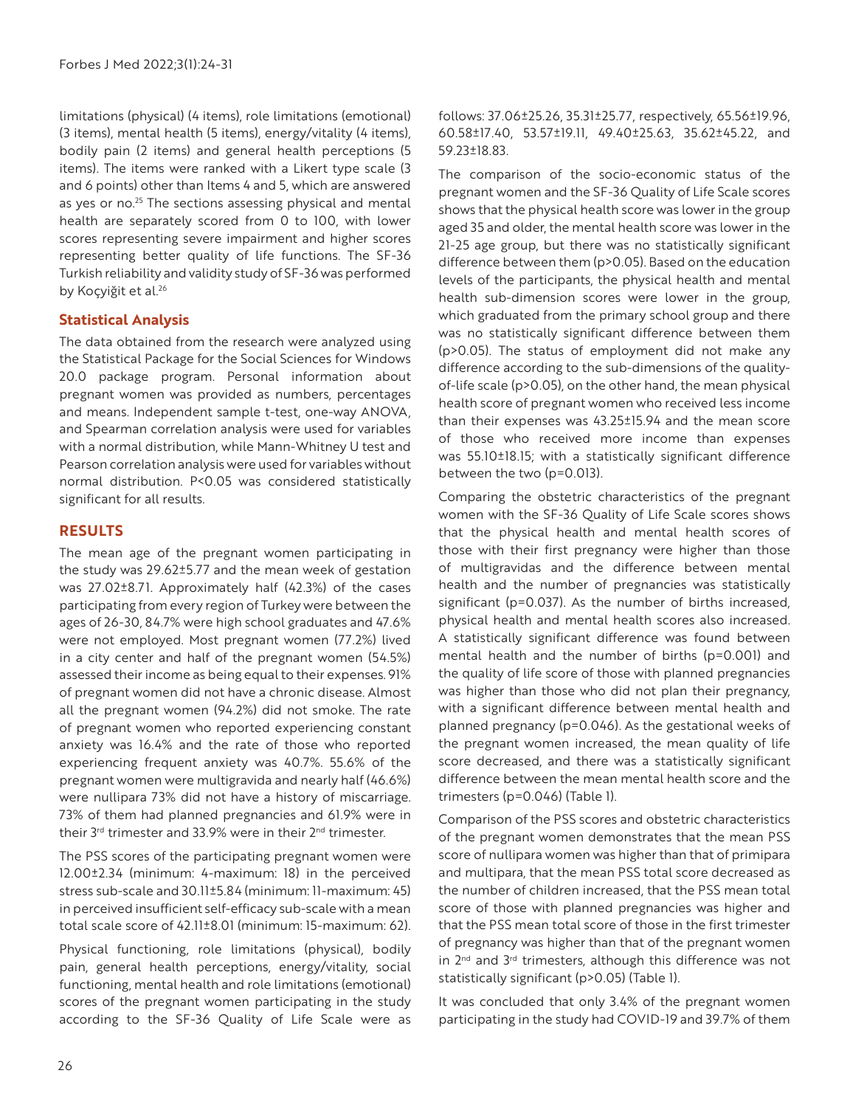limitations (physical) (4 items), role limitations (emotional) (3 items), mental health (5 items), energy/vitality (4 items), bodily pain (2 items) and general health perceptions (5 items). The items were ranked with a Likert type scale (3 and 6 points) other than Items 4 and 5, which are answered as yes or no.<sup>25</sup> The sections assessing physical and mental health are separately scored from 0 to 100, with lower scores representing severe impairment and higher scores representing better quality of life functions. The SF-36 Turkish reliability and validity study of SF-36 was performed by Koçyiğit et al.<sup>26</sup>

## **Statistical Analysis**

The data obtained from the research were analyzed using the Statistical Package for the Social Sciences for Windows 20.0 package program. Personal information about pregnant women was provided as numbers, percentages and means. Independent sample t-test, one-way ANOVA, and Spearman correlation analysis were used for variables with a normal distribution, while Mann-Whitney U test and Pearson correlation analysis were used for variables without normal distribution. P<0.05 was considered statistically significant for all results.

## **RESULTS**

The mean age of the pregnant women participating in the study was 29.62±5.77 and the mean week of gestation was 27.02±8.71. Approximately half (42.3%) of the cases participating from every region of Turkey were between the ages of 26-30, 84.7% were high school graduates and 47.6% were not employed. Most pregnant women (77.2%) lived in a city center and half of the pregnant women (54.5%) assessed their income as being equal to their expenses. 91% of pregnant women did not have a chronic disease. Almost all the pregnant women (94.2%) did not smoke. The rate of pregnant women who reported experiencing constant anxiety was 16.4% and the rate of those who reported experiencing frequent anxiety was 40.7%. 55.6% of the pregnant women were multigravida and nearly half (46.6%) were nullipara 73% did not have a history of miscarriage. 73% of them had planned pregnancies and 61.9% were in their  $3^{rd}$  trimester and 33.9% were in their  $2^{nd}$  trimester.

The PSS scores of the participating pregnant women were 12.00±2.34 (minimum: 4-maximum: 18) in the perceived stress sub-scale and 30.11±5.84 (minimum: 11-maximum: 45) in perceived insufficient self-efficacy sub-scale with a mean total scale score of 42.11±8.01 (minimum: 15-maximum: 62).

Physical functioning, role limitations (physical), bodily pain, general health perceptions, energy/vitality, social functioning, mental health and role limitations (emotional) scores of the pregnant women participating in the study according to the SF-36 Quality of Life Scale were as follows: 37.06±25.26, 35.31±25.77, respectively, 65.56±19.96, 60.58±17.40, 53.57±19.11, 49.40±25.63, 35.62±45.22, and 59.23±18.83.

The comparison of the socio-economic status of the pregnant women and the SF-36 Quality of Life Scale scores shows that the physical health score was lower in the group aged 35 and older, the mental health score was lower in the 21-25 age group, but there was no statistically significant difference between them (p>0.05). Based on the education levels of the participants, the physical health and mental health sub-dimension scores were lower in the group, which graduated from the primary school group and there was no statistically significant difference between them (p>0.05). The status of employment did not make any difference according to the sub-dimensions of the qualityof-life scale (p>0.05), on the other hand, the mean physical health score of pregnant women who received less income than their expenses was 43.25±15.94 and the mean score of those who received more income than expenses was 55.10±18.15; with a statistically significant difference between the two (p=0.013).

Comparing the obstetric characteristics of the pregnant women with the SF-36 Quality of Life Scale scores shows that the physical health and mental health scores of those with their first pregnancy were higher than those of multigravidas and the difference between mental health and the number of pregnancies was statistically significant (p=0.037). As the number of births increased, physical health and mental health scores also increased. A statistically significant difference was found between mental health and the number of births (p=0.001) and the quality of life score of those with planned pregnancies was higher than those who did not plan their pregnancy, with a significant difference between mental health and planned pregnancy (p=0.046). As the gestational weeks of the pregnant women increased, the mean quality of life score decreased, and there was a statistically significant difference between the mean mental health score and the trimesters (p=0.046) (Table 1).

Comparison of the PSS scores and obstetric characteristics of the pregnant women demonstrates that the mean PSS score of nullipara women was higher than that of primipara and multipara, that the mean PSS total score decreased as the number of children increased, that the PSS mean total score of those with planned pregnancies was higher and that the PSS mean total score of those in the first trimester of pregnancy was higher than that of the pregnant women in 2<sup>nd</sup> and 3<sup>rd</sup> trimesters, although this difference was not statistically significant (p>0.05) (Table 1).

It was concluded that only 3.4% of the pregnant women participating in the study had COVID-19 and 39.7% of them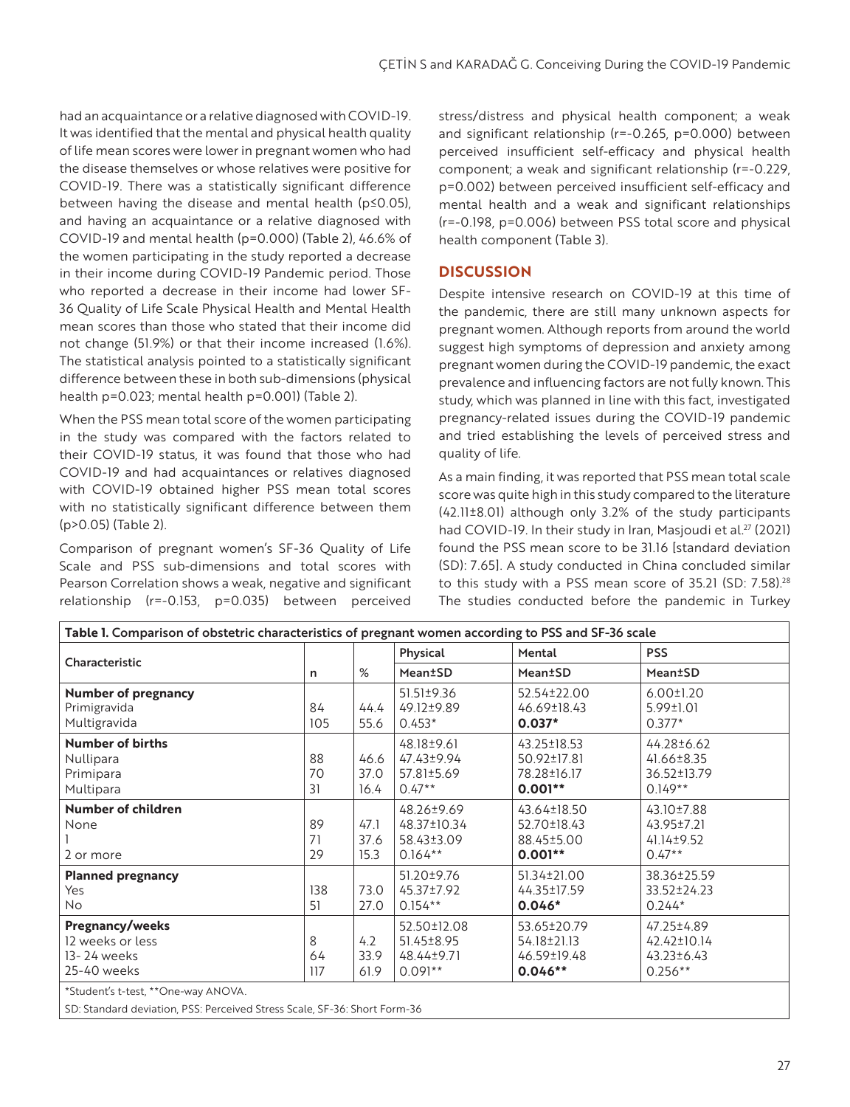had an acquaintance or a relative diagnosed with COVID-19. It was identified that the mental and physical health quality of life mean scores were lower in pregnant women who had the disease themselves or whose relatives were positive for COVID-19. There was a statistically significant difference between having the disease and mental health (p≤0.05), and having an acquaintance or a relative diagnosed with COVID-19 and mental health (p=0.000) (Table 2), 46.6% of the women participating in the study reported a decrease in their income during COVID-19 Pandemic period. Those who reported a decrease in their income had lower SF-36 Quality of Life Scale Physical Health and Mental Health mean scores than those who stated that their income did not change (51.9%) or that their income increased (1.6%). The statistical analysis pointed to a statistically significant difference between these in both sub-dimensions (physical health p=0.023; mental health p=0.001) (Table 2).

When the PSS mean total score of the women participating in the study was compared with the factors related to their COVID-19 status, it was found that those who had COVID-19 and had acquaintances or relatives diagnosed with COVID-19 obtained higher PSS mean total scores with no statistically significant difference between them (p>0.05) (Table 2).

Comparison of pregnant women's SF-36 Quality of Life Scale and PSS sub-dimensions and total scores with Pearson Correlation shows a weak, negative and significant relationship (r=-0.153, p=0.035) between perceived

stress/distress and physical health component; a weak and significant relationship (r=-0.265, p=0.000) between perceived insufficient self-efficacy and physical health component; a weak and significant relationship (r=-0.229, p=0.002) between perceived insufficient self-efficacy and mental health and a weak and significant relationships (r=-0.198, p=0.006) between PSS total score and physical health component (Table 3).

## **DISCUSSION**

Despite intensive research on COVID-19 at this time of the pandemic, there are still many unknown aspects for pregnant women. Although reports from around the world suggest high symptoms of depression and anxiety among pregnant women during the COVID-19 pandemic, the exact prevalence and influencing factors are not fully known. This study, which was planned in line with this fact, investigated pregnancy-related issues during the COVID-19 pandemic and tried establishing the levels of perceived stress and quality of life.

As a main finding, it was reported that PSS mean total scale score was quite high in this study compared to the literature (42.11±8.01) although only 3.2% of the study participants had COVID-19. In their study in Iran, Masjoudi et al. $^{27}$  (2021) found the PSS mean score to be 31.16 [standard deviation (SD): 7.65]. A study conducted in China concluded similar to this study with a PSS mean score of  $35.21$  (SD:  $7.58$ ).<sup>28</sup> The studies conducted before the pandemic in Turkey

| Characteristic                                                           |                | %                    | Physical                                             | Mental                                                 | <b>PSS</b>                                                 |
|--------------------------------------------------------------------------|----------------|----------------------|------------------------------------------------------|--------------------------------------------------------|------------------------------------------------------------|
|                                                                          | n              |                      | <b>Mean±SD</b>                                       | Mean±SD                                                | Mean±SD                                                    |
| <b>Number of pregnancy</b><br>Primigravida<br>Multigravida               | 84<br>105      | 44.4<br>55.6         | 51.51±9.36<br>49.12±9.89<br>$0.453*$                 | 52.54±22.00<br>46.69±18.43<br>$0.037*$                 | $6.00 \pm 1.20$<br>5.99±1.01<br>$0.377*$                   |
| <b>Number of births</b><br>Nullipara<br>Primipara<br>Multipara           | 88<br>70<br>31 | 46.6<br>37.0<br>16.4 | 48.18±9.61<br>47.43±9.94<br>57.81±5.69<br>$0.47**$   | 43.25±18.53<br>50.92±17.81<br>78.28±16.17<br>$0.001**$ | 44.28±6.62<br>41.66±8.35<br>36.52±13.79<br>$0.149**$       |
| Number of children<br>None<br>2 or more                                  | 89<br>71<br>29 | 47.1<br>37.6<br>15.3 | 48.26±9.69<br>48.37±10.34<br>58.43±3.09<br>$0.164**$ | 43.64±18.50<br>52.70±18.43<br>88.45±5.00<br>$0.001**$  | 43.10±7.88<br>43.95±7.21<br>41.14±9.52<br>$0.47**$         |
| <b>Planned pregnancy</b><br>Yes<br>No.                                   | 138<br>51      | 73.0<br>27.0         | 51.20±9.76<br>45.37±7.92<br>$0.154**$                | 51.34±21.00<br>44.35±17.59<br>$0.046*$                 | 38.36±25.59<br>33.52±24.23<br>$0.244*$                     |
| <b>Pregnancy/weeks</b><br>12 weeks or less<br>13-24 weeks<br>25-40 weeks | 8<br>64<br>117 | 4.2<br>33.9<br>61.9  | 52.50±12.08<br>51.45±8.95<br>48.44±9.71<br>$0.091**$ | 53.65±20.79<br>54.18±21.13<br>46.59±19.48<br>$0.046**$ | 47.25±4.89<br>42.42±10.14<br>$43.23 \pm 6.43$<br>$0.256**$ |
| *Student's t-test, **One-way ANOVA.                                      |                |                      |                                                      |                                                        |                                                            |

SD: Standard deviation, PSS: Perceived Stress Scale, SF-36: Short Form-36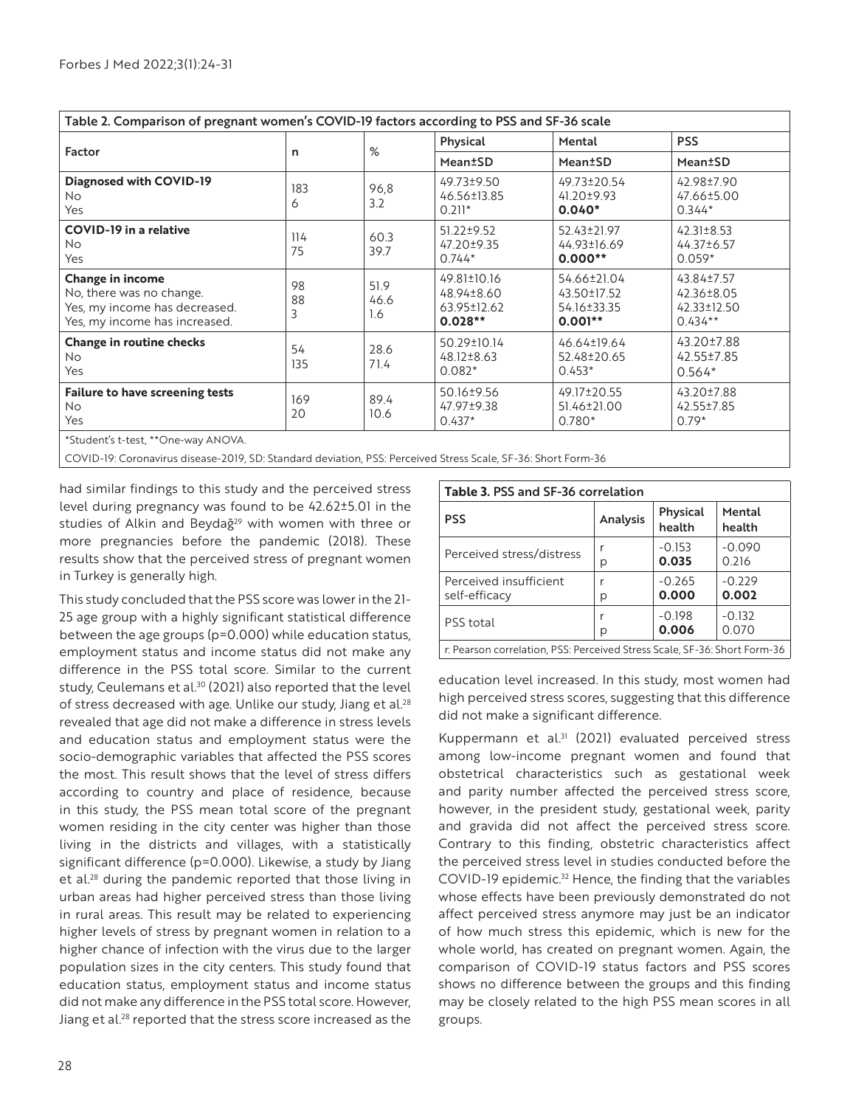| Table 2. Comparison of pregnant women's COVID-19 factors according to PSS and SF-36 scale                             |               |                     |                                                       |                                                        |                                                      |  |  |  |
|-----------------------------------------------------------------------------------------------------------------------|---------------|---------------------|-------------------------------------------------------|--------------------------------------------------------|------------------------------------------------------|--|--|--|
| Factor                                                                                                                | n             | %                   | Physical                                              | Mental                                                 | <b>PSS</b>                                           |  |  |  |
|                                                                                                                       |               |                     | Mean <sup>±</sup> SD                                  | <b>Mean</b> <sup>t</sup> SD                            | Mean <sup>±</sup> SD                                 |  |  |  |
| <b>Diagnosed with COVID-19</b><br>No.<br>Yes                                                                          | 183<br>6      | 96,8<br>3.2         | 49.73±9.50<br>46.56±13.85<br>$0.211*$                 | 49.73±20.54<br>41.20±9.93<br>$0.040*$                  | 42.98±7.90<br>47.66±5.00<br>$0.344*$                 |  |  |  |
| <b>COVID-19 in a relative</b><br><b>No</b><br>Yes                                                                     | 114<br>75     | 60.3<br>39.7        | 51.22±9.52<br>47.20±9.35<br>$0.744*$                  | 52.43±21.97<br>44.93±16.69<br>$0.000**$                | $42.31 \pm 8.53$<br>44.37±6.57<br>$0.059*$           |  |  |  |
| <b>Change in income</b><br>No, there was no change.<br>Yes, my income has decreased.<br>Yes, my income has increased. | 98<br>88<br>3 | 51.9<br>46.6<br>1.6 | 49.81±10.16<br>48.94±8.60<br>63.95±12.62<br>$0.028**$ | 54.66±21.04<br>43.50±17.52<br>54.16±33.35<br>$0.001**$ | 43.84±7.57<br>42.36±8.05<br>42.33±12.50<br>$0.434**$ |  |  |  |
| <b>Change in routine checks</b><br><b>No</b><br>Yes                                                                   | 54<br>135     | 28.6<br>71.4        | 50.29±10.14<br>48.12±8.63<br>$0.082*$                 | 46.64±19.64<br>52.48±20.65<br>$0.453*$                 | 43.20±7.88<br>42.55±7.85<br>$0.564*$                 |  |  |  |
| <b>Failure to have screening tests</b><br><b>No</b><br>Yes                                                            | 169<br>20     | 89.4<br>10.6        | 50.16±9.56<br>47.97±9.38<br>$0.437*$                  | 49.17±20.55<br>51.46±21.00<br>$0.780*$                 | 43.20±7.88<br>42.55±7.85<br>$0.79*$                  |  |  |  |
| *Student's t-test, **One-way ANOVA.                                                                                   |               |                     |                                                       |                                                        |                                                      |  |  |  |

COVID-19: Coronavirus disease-2019, SD: Standard deviation, PSS: Perceived Stress Scale, SF-36: Short Form-36

had similar findings to this study and the perceived stress level during pregnancy was found to be 42.62±5.01 in the studies of Alkin and Beydağ<sup>29</sup> with women with three or more pregnancies before the pandemic (2018). These results show that the perceived stress of pregnant women in Turkey is generally high.

This study concluded that the PSS score was lower in the 21- 25 age group with a highly significant statistical difference between the age groups (p=0.000) while education status, employment status and income status did not make any difference in the PSS total score. Similar to the current study, Ceulemans et al.<sup>30</sup> (2021) also reported that the level of stress decreased with age. Unlike our study, Jiang et al.<sup>28</sup> revealed that age did not make a difference in stress levels and education status and employment status were the socio-demographic variables that affected the PSS scores the most. This result shows that the level of stress differs according to country and place of residence, because in this study, the PSS mean total score of the pregnant women residing in the city center was higher than those living in the districts and villages, with a statistically significant difference (p=0.000). Likewise, a study by Jiang et al.<sup>28</sup> during the pandemic reported that those living in urban areas had higher perceived stress than those living in rural areas. This result may be related to experiencing higher levels of stress by pregnant women in relation to a higher chance of infection with the virus due to the larger population sizes in the city centers. This study found that education status, employment status and income status did not make any difference in the PSS total score. However, Jiang et al.<sup>28</sup> reported that the stress score increased as the

| <b>Table 3. PSS and SF-36 correlation</b>                                 |          |                    |                   |  |  |  |  |
|---------------------------------------------------------------------------|----------|--------------------|-------------------|--|--|--|--|
| <b>PSS</b>                                                                | Analysis | Physical<br>health | Mental<br>health  |  |  |  |  |
| Perceived stress/distress                                                 | р        | $-0.153$<br>0.035  | $-0.090$<br>0.216 |  |  |  |  |
| Perceived insufficient<br>self-efficacy                                   | r<br>р   | $-0.265$<br>0.000  | $-0.229$<br>0.002 |  |  |  |  |
| PSS total                                                                 | р        | $-0.198$<br>0.006  | $-0.132$<br>0.070 |  |  |  |  |
| r: Pearson correlation, PSS: Perceived Stress Scale, SF-36: Short Form-36 |          |                    |                   |  |  |  |  |

education level increased. In this study, most women had high perceived stress scores, suggesting that this difference did not make a significant difference.

Kuppermann et al.<sup>31</sup> (2021) evaluated perceived stress among low-income pregnant women and found that obstetrical characteristics such as gestational week and parity number affected the perceived stress score, however, in the president study, gestational week, parity and gravida did not affect the perceived stress score. Contrary to this finding, obstetric characteristics affect the perceived stress level in studies conducted before the COVID-19 epidemic.<sup>32</sup> Hence, the finding that the variables whose effects have been previously demonstrated do not affect perceived stress anymore may just be an indicator of how much stress this epidemic, which is new for the whole world, has created on pregnant women. Again, the comparison of COVID-19 status factors and PSS scores shows no difference between the groups and this finding may be closely related to the high PSS mean scores in all groups.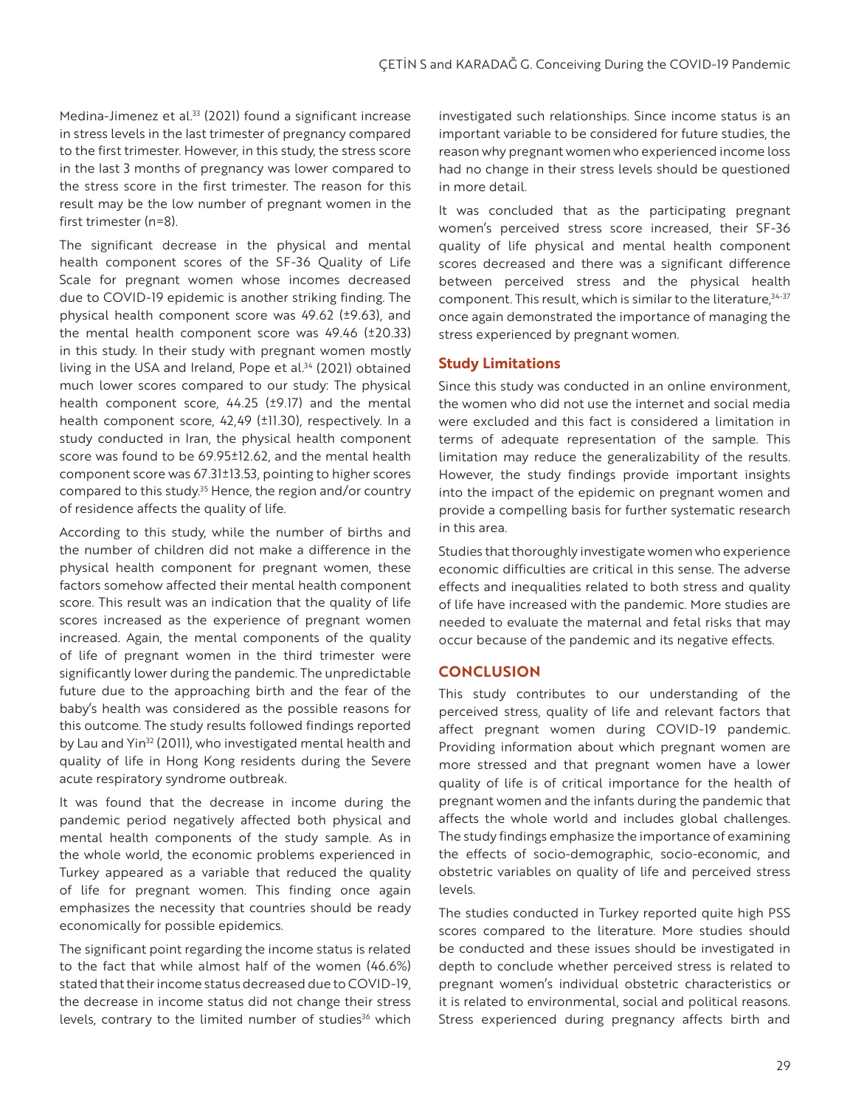Medina-Jimenez et al.<sup>33</sup> (2021) found a significant increase in stress levels in the last trimester of pregnancy compared to the first trimester. However, in this study, the stress score in the last 3 months of pregnancy was lower compared to the stress score in the first trimester. The reason for this result may be the low number of pregnant women in the first trimester (n=8).

The significant decrease in the physical and mental health component scores of the SF-36 Quality of Life Scale for pregnant women whose incomes decreased due to COVID-19 epidemic is another striking finding. The physical health component score was 49.62 (±9.63), and the mental health component score was 49.46 (±20.33) in this study. In their study with pregnant women mostly living in the USA and Ireland, Pope et al.34 (2021) obtained much lower scores compared to our study: The physical health component score, 44.25 (±9.17) and the mental health component score, 42,49 (±11.30), respectively. In a study conducted in Iran, the physical health component score was found to be 69.95±12.62, and the mental health component score was 67.31±13.53, pointing to higher scores compared to this study.<sup>35</sup> Hence, the region and/or country of residence affects the quality of life.

According to this study, while the number of births and the number of children did not make a difference in the physical health component for pregnant women, these factors somehow affected their mental health component score. This result was an indication that the quality of life scores increased as the experience of pregnant women increased. Again, the mental components of the quality of life of pregnant women in the third trimester were significantly lower during the pandemic. The unpredictable future due to the approaching birth and the fear of the baby's health was considered as the possible reasons for this outcome. The study results followed findings reported by Lau and Yin<sup>32</sup> (2011), who investigated mental health and quality of life in Hong Kong residents during the Severe acute respiratory syndrome outbreak.

It was found that the decrease in income during the pandemic period negatively affected both physical and mental health components of the study sample. As in the whole world, the economic problems experienced in Turkey appeared as a variable that reduced the quality of life for pregnant women. This finding once again emphasizes the necessity that countries should be ready economically for possible epidemics.

The significant point regarding the income status is related to the fact that while almost half of the women (46.6%) stated that their income status decreased due to COVID-19, the decrease in income status did not change their stress levels, contrary to the limited number of studies<sup>36</sup> which investigated such relationships. Since income status is an important variable to be considered for future studies, the reason why pregnant women who experienced income loss had no change in their stress levels should be questioned in more detail.

It was concluded that as the participating pregnant women's perceived stress score increased, their SF-36 quality of life physical and mental health component scores decreased and there was a significant difference between perceived stress and the physical health component. This result, which is similar to the literature,  $34-37$ once again demonstrated the importance of managing the stress experienced by pregnant women.

#### **Study Limitations**

Since this study was conducted in an online environment, the women who did not use the internet and social media were excluded and this fact is considered a limitation in terms of adequate representation of the sample. This limitation may reduce the generalizability of the results. However, the study findings provide important insights into the impact of the epidemic on pregnant women and provide a compelling basis for further systematic research in this area.

Studies that thoroughly investigate women who experience economic difficulties are critical in this sense. The adverse effects and inequalities related to both stress and quality of life have increased with the pandemic. More studies are needed to evaluate the maternal and fetal risks that may occur because of the pandemic and its negative effects.

## **CONCLUSION**

This study contributes to our understanding of the perceived stress, quality of life and relevant factors that affect pregnant women during COVID-19 pandemic. Providing information about which pregnant women are more stressed and that pregnant women have a lower quality of life is of critical importance for the health of pregnant women and the infants during the pandemic that affects the whole world and includes global challenges. The study findings emphasize the importance of examining the effects of socio-demographic, socio-economic, and obstetric variables on quality of life and perceived stress levels.

The studies conducted in Turkey reported quite high PSS scores compared to the literature. More studies should be conducted and these issues should be investigated in depth to conclude whether perceived stress is related to pregnant women's individual obstetric characteristics or it is related to environmental, social and political reasons. Stress experienced during pregnancy affects birth and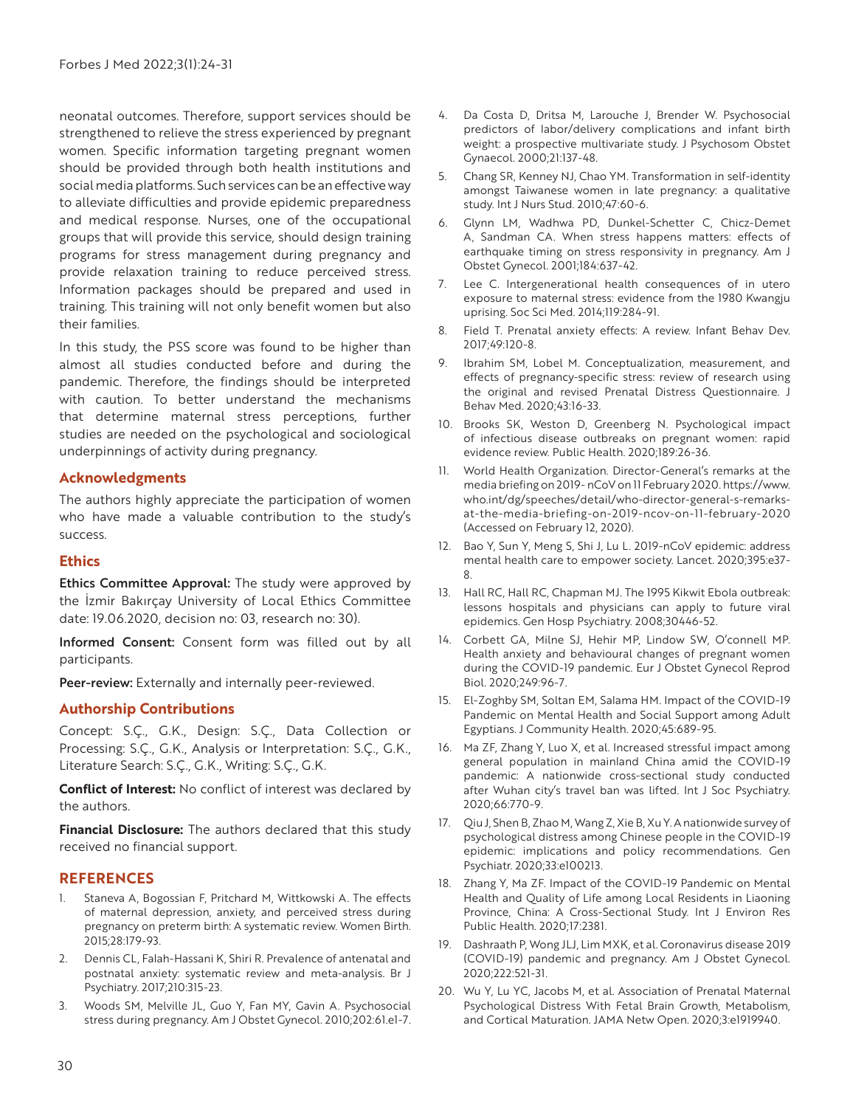neonatal outcomes. Therefore, support services should be strengthened to relieve the stress experienced by pregnant women. Specific information targeting pregnant women should be provided through both health institutions and social media platforms. Such services can be an effective way to alleviate difficulties and provide epidemic preparedness and medical response. Nurses, one of the occupational groups that will provide this service, should design training programs for stress management during pregnancy and provide relaxation training to reduce perceived stress. Information packages should be prepared and used in training. This training will not only benefit women but also their families.

In this study, the PSS score was found to be higher than almost all studies conducted before and during the pandemic. Therefore, the findings should be interpreted with caution. To better understand the mechanisms that determine maternal stress perceptions, further studies are needed on the psychological and sociological underpinnings of activity during pregnancy.

#### **Acknowledgments**

The authors highly appreciate the participation of women who have made a valuable contribution to the study's success.

#### **Ethics**

Ethics Committee Approval: The study were approved by the İzmir Bakırçay University of Local Ethics Committee date: 19.06.2020, decision no: 03, research no: 30).

Informed Consent: Consent form was filled out by all participants.

Peer-review: Externally and internally peer-reviewed.

#### **Authorship Contributions**

Concept: S.Ç., G.K., Design: S.Ç., Data Collection or Processing: S.Ç., G.K., Analysis or Interpretation: S.Ç., G.K., Literature Search: S.Ç., G.K., Writing: S.Ç., G.K.

**Conflict of Interest:** No conflict of interest was declared by the authors.

**Financial Disclosure:** The authors declared that this study received no financial support.

## **REFERENCES**

- 1. Staneva A, Bogossian F, Pritchard M, Wittkowski A. The effects of maternal depression, anxiety, and perceived stress during pregnancy on preterm birth: A systematic review. Women Birth. 2015;28:179-93.
- 2. Dennis CL, Falah-Hassani K, Shiri R. Prevalence of antenatal and postnatal anxiety: systematic review and meta-analysis. Br J Psychiatry. 2017;210:315-23.
- 3. Woods SM, Melville JL, Guo Y, Fan MY, Gavin A. Psychosocial stress during pregnancy. Am J Obstet Gynecol. 2010;202:61.e1-7.
- 4. Da Costa D, Dritsa M, Larouche J, Brender W. Psychosocial predictors of labor/delivery complications and infant birth weight: a prospective multivariate study. J Psychosom Obstet Gynaecol. 2000;21:137-48.
- 5. Chang SR, Kenney NJ, Chao YM. Transformation in self-identity amongst Taiwanese women in late pregnancy: a qualitative study. Int J Nurs Stud. 2010;47:60-6.
- 6. Glynn LM, Wadhwa PD, Dunkel-Schetter C, Chicz-Demet A, Sandman CA. When stress happens matters: effects of earthquake timing on stress responsivity in pregnancy. Am J Obstet Gynecol. 2001;184:637-42.
- 7. Lee C. Intergenerational health consequences of in utero exposure to maternal stress: evidence from the 1980 Kwangju uprising. Soc Sci Med. 2014;119:284-91.
- 8. Field T. Prenatal anxiety effects: A review. Infant Behav Dev. 2017;49:120-8.
- 9. Ibrahim SM, Lobel M. Conceptualization, measurement, and effects of pregnancy-specific stress: review of research using the original and revised Prenatal Distress Questionnaire. J Behav Med. 2020;43:16-33.
- 10. Brooks SK, Weston D, Greenberg N. Psychological impact of infectious disease outbreaks on pregnant women: rapid evidence review. Public Health. 2020;189:26-36.
- 11. World Health Organization. Director-General's remarks at the media briefing on 2019- nCoV on 11 February 2020. https://www. who.int/dg/speeches/detail/who-director-general-s-remarksat-the-media-briefing-on-2019-ncov-on-11-february-2020 (Accessed on February 12, 2020).
- 12. Bao Y, Sun Y, Meng S, Shi J, Lu L. 2019-nCoV epidemic: address mental health care to empower society. Lancet. 2020;395:e37- 8.
- 13. Hall RC, Hall RC, Chapman MJ. The 1995 Kikwit Ebola outbreak: lessons hospitals and physicians can apply to future viral epidemics. Gen Hosp Psychiatry. 2008;30446-52.
- 14. Corbett GA, Milne SJ, Hehir MP, Lindow SW, O'connell MP. Health anxiety and behavioural changes of pregnant women during the COVID-19 pandemic. Eur J Obstet Gynecol Reprod Biol. 2020;249:96-7.
- 15. El-Zoghby SM, Soltan EM, Salama HM. Impact of the COVID-19 Pandemic on Mental Health and Social Support among Adult Egyptians. J Community Health. 2020;45:689-95.
- 16. Ma ZF, Zhang Y, Luo X, et al. Increased stressful impact among general population in mainland China amid the COVID-19 pandemic: A nationwide cross-sectional study conducted after Wuhan city's travel ban was lifted. Int J Soc Psychiatry. 2020;66:770-9.
- 17. Qiu J, Shen B, Zhao M, Wang Z, Xie B, Xu Y. A nationwide survey of psychological distress among Chinese people in the COVID-19 epidemic: implications and policy recommendations. Gen Psychiatr. 2020;33:e100213.
- 18. Zhang Y, Ma ZF. Impact of the COVID-19 Pandemic on Mental Health and Quality of Life among Local Residents in Liaoning Province, China: A Cross-Sectional Study. Int J Environ Res Public Health. 2020;17:2381.
- 19. Dashraath P, Wong JLJ, Lim MXK, et al. Coronavirus disease 2019 (COVID-19) pandemic and pregnancy. Am J Obstet Gynecol. 2020;222:521-31.
- 20. Wu Y, Lu YC, Jacobs M, et al. Association of Prenatal Maternal Psychological Distress With Fetal Brain Growth, Metabolism, and Cortical Maturation. JAMA Netw Open. 2020;3:e1919940.